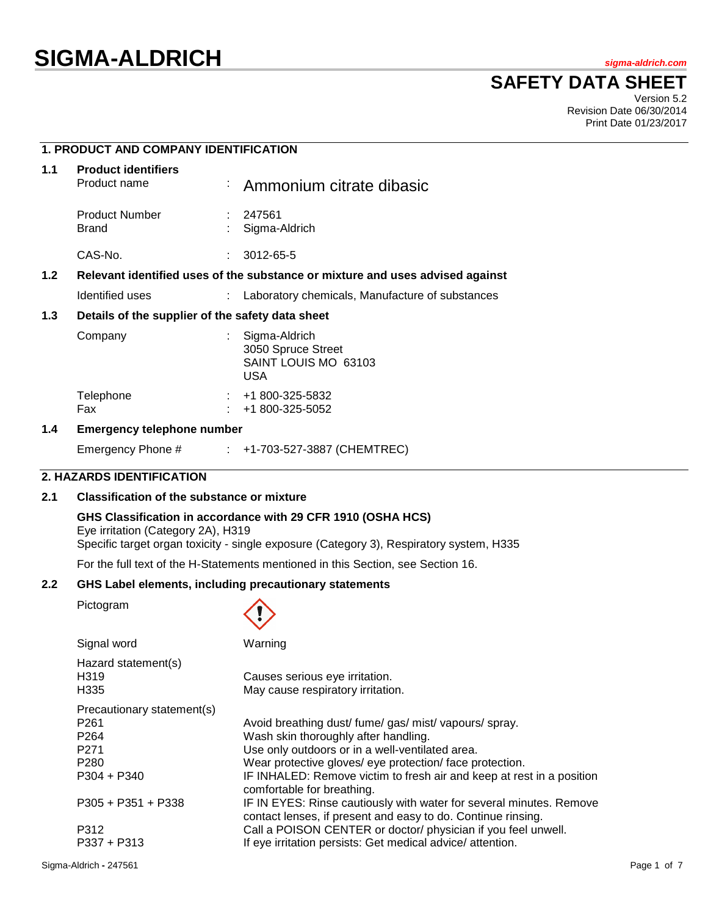# **SIGMA-ALDRICH** *sigma-aldrich.com*

**SAFETY DATA SHEET**

Version 5.2 Revision Date 06/30/2014 Print Date 01/23/2017

# **1. PRODUCT AND COMPANY IDENTIFICATION**

| 1.1              | <b>Product identifiers</b><br>Product name                                    |  | Ammonium citrate dibasic                                                    |  |
|------------------|-------------------------------------------------------------------------------|--|-----------------------------------------------------------------------------|--|
|                  | <b>Product Number</b><br>Brand                                                |  | : 247561<br>Sigma-Aldrich                                                   |  |
|                  | CAS-No.                                                                       |  | 3012-65-5                                                                   |  |
| 1.2 <sub>1</sub> | Relevant identified uses of the substance or mixture and uses advised against |  |                                                                             |  |
|                  | Identified uses                                                               |  | Laboratory chemicals, Manufacture of substances                             |  |
| 1.3              | Details of the supplier of the safety data sheet                              |  |                                                                             |  |
|                  | Company                                                                       |  | : Sigma-Aldrich<br>3050 Spruce Street<br>SAINT LOUIS MO 63103<br><b>USA</b> |  |
|                  | Telephone<br>Fax                                                              |  | $\div$ +1 800-325-5832<br>+1 800-325-5052                                   |  |
|                  |                                                                               |  |                                                                             |  |

#### **1.4 Emergency telephone number**

Emergency Phone # : +1-703-527-3887 (CHEMTREC)

# **2. HAZARDS IDENTIFICATION**

# **2.1 Classification of the substance or mixture**

#### **GHS Classification in accordance with 29 CFR 1910 (OSHA HCS)**

Eye irritation (Category 2A), H319 Specific target organ toxicity - single exposure (Category 3), Respiratory system, H335

For the full text of the H-Statements mentioned in this Section, see Section 16.

#### **2.2 GHS Label elements, including precautionary statements**

Pictogram



| Signal word                                                 | Warning                                                                                                                             |
|-------------------------------------------------------------|-------------------------------------------------------------------------------------------------------------------------------------|
| Hazard statement(s)<br>H <sub>319</sub><br>H <sub>335</sub> | Causes serious eye irritation.<br>May cause respiratory irritation.                                                                 |
| Precautionary statement(s)                                  |                                                                                                                                     |
| P <sub>261</sub>                                            | Avoid breathing dust/ fume/ gas/ mist/ vapours/ spray.                                                                              |
| P <sub>264</sub>                                            | Wash skin thoroughly after handling.                                                                                                |
| P <sub>271</sub>                                            | Use only outdoors or in a well-ventilated area.                                                                                     |
| P <sub>280</sub>                                            | Wear protective gloves/ eye protection/ face protection.                                                                            |
| $P304 + P340$                                               | IF INHALED: Remove victim to fresh air and keep at rest in a position<br>comfortable for breathing.                                 |
| $P305 + P351 + P338$                                        | IF IN EYES: Rinse cautiously with water for several minutes. Remove<br>contact lenses, if present and easy to do. Continue rinsing. |
| P312                                                        | Call a POISON CENTER or doctor/ physician if you feel unwell.                                                                       |
| $P337 + P313$                                               | If eye irritation persists: Get medical advice/attention.                                                                           |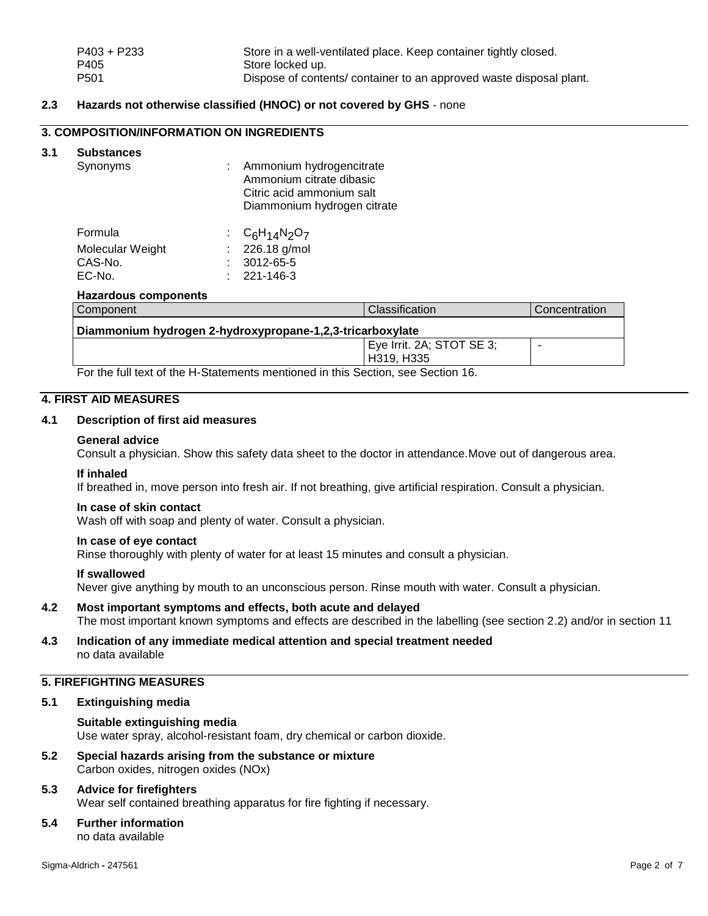# **2.3 Hazards not otherwise classified (HNOC) or not covered by GHS** - none

# **3. COMPOSITION/INFORMATION ON INGREDIENTS**

# **3.1 Substances**

| Synonyms | : Ammonium hydrogencitrate  |
|----------|-----------------------------|
|          | Ammonium citrate dibasic    |
|          | Citric acid ammonium salt   |
|          | Diammonium hydrogen citrate |
|          |                             |

| Formula          | : $C_6H_{14}N_2O_7$ |
|------------------|---------------------|
| Molecular Weight | $: 226.18$ g/mol    |
| CAS-No.          | $: 3012 - 65 - 5$   |
| EC-No.           | $: 221 - 146 - 3$   |

#### **Hazardous components**

| Component                                                                                                                   | <b>Classification</b>     | Concentration |  |
|-----------------------------------------------------------------------------------------------------------------------------|---------------------------|---------------|--|
| Diammonium hydrogen 2-hydroxypropane-1,2,3-tricarboxylate                                                                   |                           |               |  |
|                                                                                                                             | Eye Irrit. 2A; STOT SE 3; |               |  |
|                                                                                                                             | H319, H335                |               |  |
| $\blacksquare$ . The following the contract of the contract of the contract $\blacksquare$ . The contract of $\blacksquare$ |                           |               |  |

For the full text of the H-Statements mentioned in this Section, see Section 16.

# **4. FIRST AID MEASURES**

# **4.1 Description of first aid measures**

#### **General advice**

Consult a physician. Show this safety data sheet to the doctor in attendance.Move out of dangerous area.

#### **If inhaled**

If breathed in, move person into fresh air. If not breathing, give artificial respiration. Consult a physician.

#### **In case of skin contact**

Wash off with soap and plenty of water. Consult a physician.

# **In case of eye contact**

Rinse thoroughly with plenty of water for at least 15 minutes and consult a physician.

## **If swallowed**

Never give anything by mouth to an unconscious person. Rinse mouth with water. Consult a physician.

- **4.2 Most important symptoms and effects, both acute and delayed** The most important known symptoms and effects are described in the labelling (see section 2.2) and/or in section 11
- **4.3 Indication of any immediate medical attention and special treatment needed** no data available

# **5. FIREFIGHTING MEASURES**

## **5.1 Extinguishing media**

**Suitable extinguishing media** Use water spray, alcohol-resistant foam, dry chemical or carbon dioxide.

**5.2 Special hazards arising from the substance or mixture** Carbon oxides, nitrogen oxides (NOx)

# **5.3 Advice for firefighters**

Wear self contained breathing apparatus for fire fighting if necessary.

# **5.4 Further information**

no data available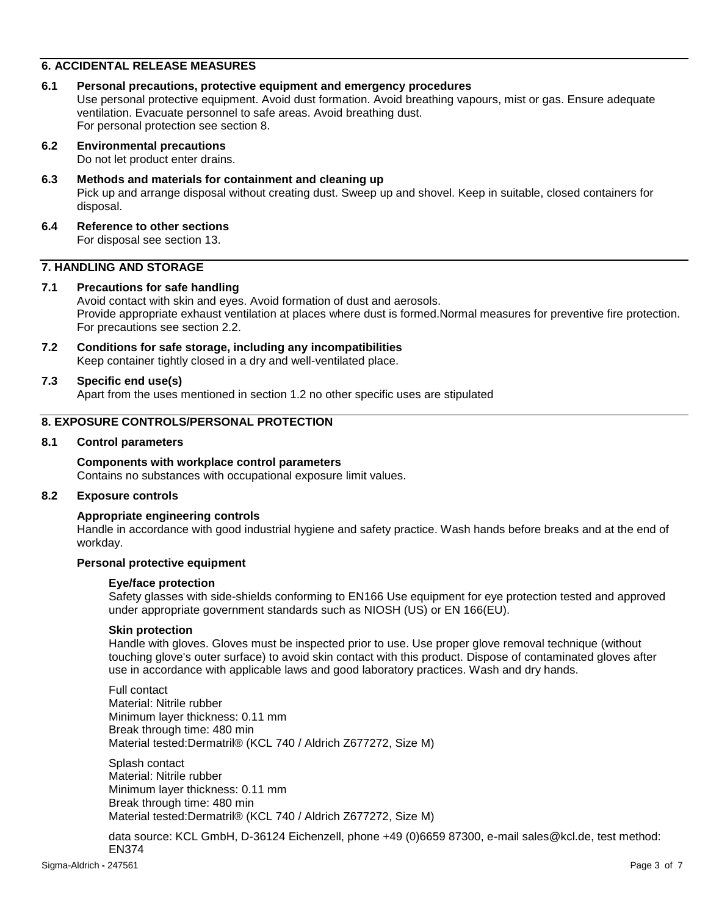# **6. ACCIDENTAL RELEASE MEASURES**

**6.1 Personal precautions, protective equipment and emergency procedures** Use personal protective equipment. Avoid dust formation. Avoid breathing vapours, mist or gas. Ensure adequate ventilation. Evacuate personnel to safe areas. Avoid breathing dust. For personal protection see section 8.

# **6.2 Environmental precautions**

Do not let product enter drains.

#### **6.3 Methods and materials for containment and cleaning up**

Pick up and arrange disposal without creating dust. Sweep up and shovel. Keep in suitable, closed containers for disposal.

#### **6.4 Reference to other sections** For disposal see section 13.

# **7. HANDLING AND STORAGE**

# **7.1 Precautions for safe handling**

Avoid contact with skin and eyes. Avoid formation of dust and aerosols. Provide appropriate exhaust ventilation at places where dust is formed.Normal measures for preventive fire protection. For precautions see section 2.2.

**7.2 Conditions for safe storage, including any incompatibilities** Keep container tightly closed in a dry and well-ventilated place.

## **7.3 Specific end use(s)**

Apart from the uses mentioned in section 1.2 no other specific uses are stipulated

# **8. EXPOSURE CONTROLS/PERSONAL PROTECTION**

#### **8.1 Control parameters**

#### **Components with workplace control parameters**

Contains no substances with occupational exposure limit values.

#### **8.2 Exposure controls**

#### **Appropriate engineering controls**

Handle in accordance with good industrial hygiene and safety practice. Wash hands before breaks and at the end of workday.

#### **Personal protective equipment**

#### **Eye/face protection**

Safety glasses with side-shields conforming to EN166 Use equipment for eye protection tested and approved under appropriate government standards such as NIOSH (US) or EN 166(EU).

#### **Skin protection**

Handle with gloves. Gloves must be inspected prior to use. Use proper glove removal technique (without touching glove's outer surface) to avoid skin contact with this product. Dispose of contaminated gloves after use in accordance with applicable laws and good laboratory practices. Wash and dry hands.

Full contact Material: Nitrile rubber Minimum layer thickness: 0.11 mm Break through time: 480 min Material tested:Dermatril® (KCL 740 / Aldrich Z677272, Size M)

Splash contact Material: Nitrile rubber Minimum layer thickness: 0.11 mm Break through time: 480 min Material tested:Dermatril® (KCL 740 / Aldrich Z677272, Size M)

data source: KCL GmbH, D-36124 Eichenzell, phone +49 (0)6659 87300, e-mail sales@kcl.de, test method: EN374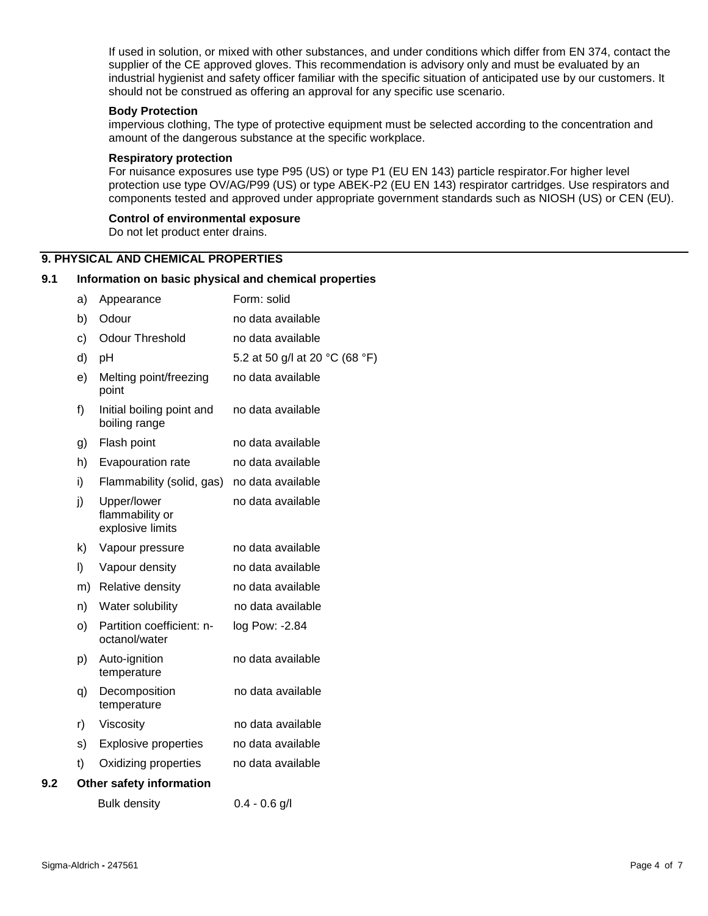If used in solution, or mixed with other substances, and under conditions which differ from EN 374, contact the supplier of the CE approved gloves. This recommendation is advisory only and must be evaluated by an industrial hygienist and safety officer familiar with the specific situation of anticipated use by our customers. It should not be construed as offering an approval for any specific use scenario.

#### **Body Protection**

impervious clothing, The type of protective equipment must be selected according to the concentration and amount of the dangerous substance at the specific workplace.

#### **Respiratory protection**

For nuisance exposures use type P95 (US) or type P1 (EU EN 143) particle respirator.For higher level protection use type OV/AG/P99 (US) or type ABEK-P2 (EU EN 143) respirator cartridges. Use respirators and components tested and approved under appropriate government standards such as NIOSH (US) or CEN (EU).

#### **Control of environmental exposure**

Do not let product enter drains.

## **9. PHYSICAL AND CHEMICAL PROPERTIES**

#### **9.1 Information on basic physical and chemical properties**

|     | a) | Appearance                                         | Form: solid                    |
|-----|----|----------------------------------------------------|--------------------------------|
|     | b) | Odour                                              | no data available              |
|     | c) | <b>Odour Threshold</b>                             | no data available              |
|     | d) | pH                                                 | 5.2 at 50 g/l at 20 °C (68 °F) |
|     | e) | Melting point/freezing<br>point                    | no data available              |
|     | f) | Initial boiling point and<br>boiling range         | no data available              |
|     | g) | Flash point                                        | no data available              |
|     | h) | Evapouration rate                                  | no data available              |
|     | i) | Flammability (solid, gas)                          | no data available              |
|     | j) | Upper/lower<br>flammability or<br>explosive limits | no data available              |
|     | k) | Vapour pressure                                    | no data available              |
|     | I) | Vapour density                                     | no data available              |
|     | m) | <b>Relative density</b>                            | no data available              |
|     | n) | Water solubility                                   | no data available              |
|     | O) | Partition coefficient: n-<br>octanol/water         | log Pow: -2.84                 |
|     | p) | Auto-ignition<br>temperature                       | no data available              |
|     | q) | Decomposition<br>temperature                       | no data available              |
|     | r) | Viscosity                                          | no data available              |
|     | s) | <b>Explosive properties</b>                        | no data available              |
|     | t) | Oxidizing properties                               | no data available              |
| 9.2 |    | Other safety information                           |                                |
|     |    | <b>Bulk density</b>                                | $0.4 - 0.6$ g/l                |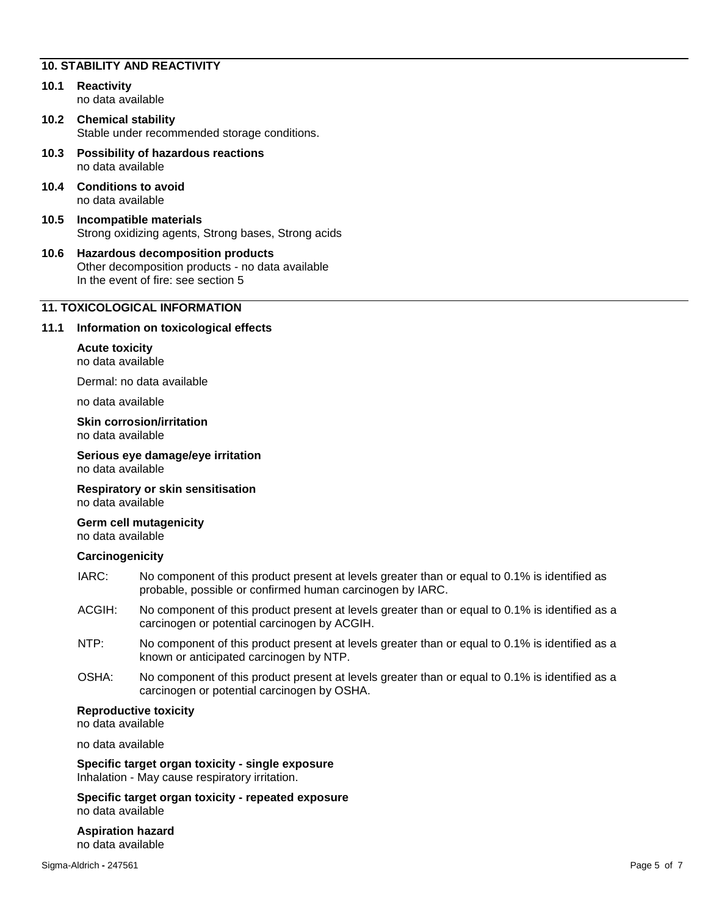# **10. STABILITY AND REACTIVITY**

- **10.1 Reactivity** no data available
- **10.2 Chemical stability** Stable under recommended storage conditions.
- **10.3 Possibility of hazardous reactions** no data available
- **10.4 Conditions to avoid** no data available
- **10.5 Incompatible materials** Strong oxidizing agents, Strong bases, Strong acids

#### **10.6 Hazardous decomposition products** Other decomposition products - no data available In the event of fire: see section 5

# **11. TOXICOLOGICAL INFORMATION**

## **11.1 Information on toxicological effects**

## **Acute toxicity**

no data available

Dermal: no data available

no data available

## **Skin corrosion/irritation** no data available

**Serious eye damage/eye irritation** no data available

**Respiratory or skin sensitisation** no data available

**Germ cell mutagenicity** no data available

## **Carcinogenicity**

- IARC: No component of this product present at levels greater than or equal to 0.1% is identified as probable, possible or confirmed human carcinogen by IARC.
- ACGIH: No component of this product present at levels greater than or equal to 0.1% is identified as a carcinogen or potential carcinogen by ACGIH.
- NTP: No component of this product present at levels greater than or equal to 0.1% is identified as a known or anticipated carcinogen by NTP.
- OSHA: No component of this product present at levels greater than or equal to 0.1% is identified as a carcinogen or potential carcinogen by OSHA.

## **Reproductive toxicity**

no data available

no data available

**Specific target organ toxicity - single exposure** Inhalation - May cause respiratory irritation.

**Specific target organ toxicity - repeated exposure** no data available

**Aspiration hazard** no data available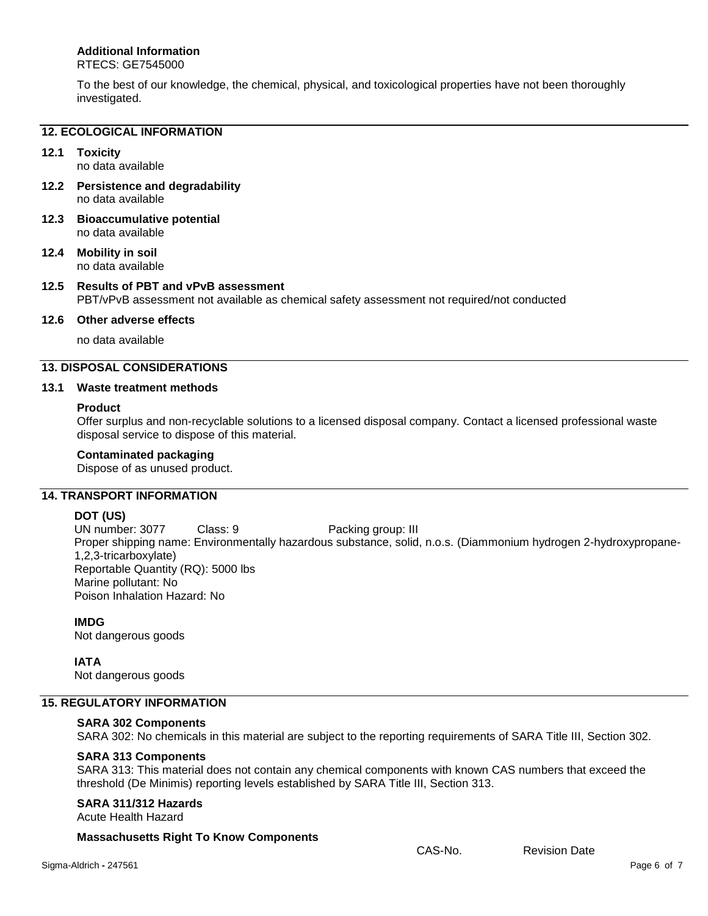# **Additional Information**

RTECS: GE7545000

To the best of our knowledge, the chemical, physical, and toxicological properties have not been thoroughly investigated.

# **12. ECOLOGICAL INFORMATION**

# **12.1 Toxicity**

no data available

- **12.2 Persistence and degradability** no data available
- **12.3 Bioaccumulative potential** no data available
- **12.4 Mobility in soil** no data available

# **12.5 Results of PBT and vPvB assessment** PBT/vPvB assessment not available as chemical safety assessment not required/not conducted

# **12.6 Other adverse effects**

no data available

# **13. DISPOSAL CONSIDERATIONS**

## **13.1 Waste treatment methods**

## **Product**

Offer surplus and non-recyclable solutions to a licensed disposal company. Contact a licensed professional waste disposal service to dispose of this material.

# **Contaminated packaging**

Dispose of as unused product.

# **14. TRANSPORT INFORMATION**

## **DOT (US)**

UN number: 3077 Class: 9 Packing group: III Proper shipping name: Environmentally hazardous substance, solid, n.o.s. (Diammonium hydrogen 2-hydroxypropane-1,2,3-tricarboxylate) Reportable Quantity (RQ): 5000 lbs Marine pollutant: No Poison Inhalation Hazard: No

## **IMDG**

Not dangerous goods

**IATA** Not dangerous goods

## **15. REGULATORY INFORMATION**

#### **SARA 302 Components** SARA 302: No chemicals in this material are subject to the reporting requirements of SARA Title III, Section 302.

# **SARA 313 Components**

SARA 313: This material does not contain any chemical components with known CAS numbers that exceed the threshold (De Minimis) reporting levels established by SARA Title III, Section 313.

## **SARA 311/312 Hazards**

#### Acute Health Hazard

## **Massachusetts Right To Know Components**